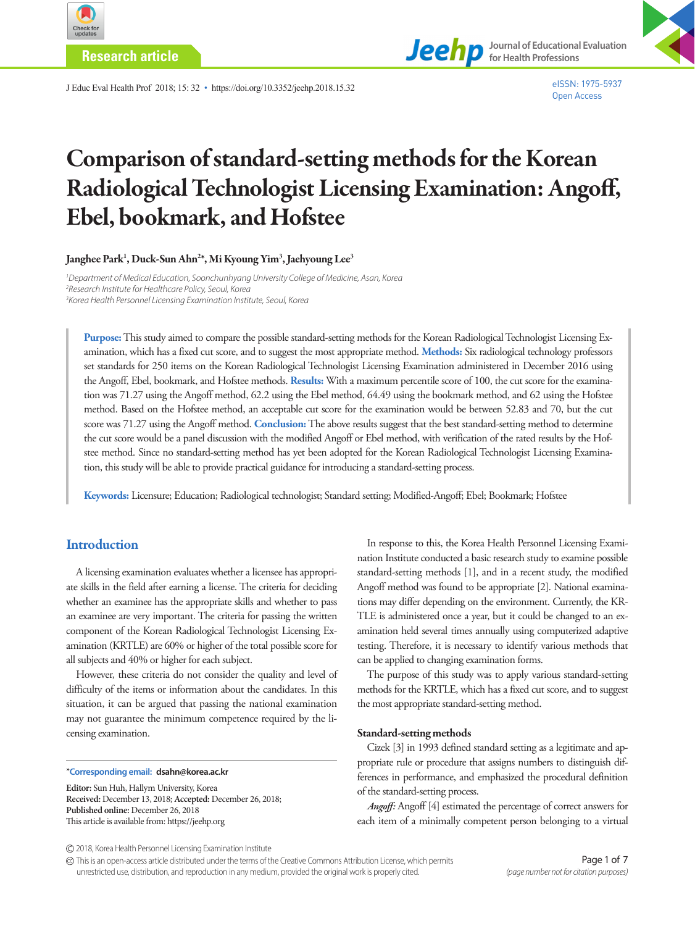

**Research article**



J Educ Eval Health Prof 2018; 15: 32 • https://doi.org/10.3352/jeehp.2018.15.32

# Comparison of standard-setting methods for the Korean Radiological Technologist Licensing Examination: Angoff, Ebel, bookmark, and Hofstee

Janghee Park<sup>1</sup>, Duck-Sun Ahn<sup>2</sup>\*, Mi Kyoung Yim<sup>3</sup>, Jaehyoung Lee<sup>3</sup>

<sup>1</sup> Department of Medical Education, Soonchunhyang University College of Medicine, Asan, Korea *2 Research Institute for Healthcare Policy, Seoul, Korea 3 Korea Health Personnel Licensing Examination Institute, Seoul, Korea*

**Purpose:** This study aimed to compare the possible standard-setting methods for the Korean Radiological Technologist Licensing Examination, which has a fixed cut score, and to suggest the most appropriate method. **Methods:** Six radiological technology professors set standards for 250 items on the Korean Radiological Technologist Licensing Examination administered in December 2016 using the Angoff, Ebel, bookmark, and Hofstee methods. **Results:** With a maximum percentile score of 100, the cut score for the examination was 71.27 using the Angoff method, 62.2 using the Ebel method, 64.49 using the bookmark method, and 62 using the Hofstee method. Based on the Hofstee method, an acceptable cut score for the examination would be between 52.83 and 70, but the cut score was 71.27 using the Angoff method. **Conclusion:** The above results suggest that the best standard-setting method to determine the cut score would be a panel discussion with the modified Angoff or Ebel method, with verification of the rated results by the Hofstee method. Since no standard-setting method has yet been adopted for the Korean Radiological Technologist Licensing Examination, this study will be able to provide practical guidance for introducing a standard-setting process.

**Keywords:** Licensure; Education; Radiological technologist; Standard setting; Modified-Angoff; Ebel; Bookmark; Hofstee

## **Introduction**

A licensing examination evaluates whether a licensee has appropriate skills in the field after earning a license. The criteria for deciding whether an examinee has the appropriate skills and whether to pass an examinee are very important. The criteria for passing the written component of the Korean Radiological Technologist Licensing Examination (KRTLE) are 60% or higher of the total possible score for all subjects and 40% or higher for each subject.

However, these criteria do not consider the quality and level of difficulty of the items or information about the candidates. In this situation, it can be argued that passing the national examination may not guarantee the minimum competence required by the licensing examination.

#### \***Corresponding email: dsahn@korea.ac.kr**

**Editor:** Sun Huh, Hallym University, Korea **Received:** December 13, 2018; **Accepted:** December 26, 2018; **Published online:** December 26, 2018 This article is available from: https://jeehp.org

In response to this, the Korea Health Personnel Licensing Examination Institute conducted a basic research study to examine possible standard-setting methods [1], and in a recent study, the modified Angoff method was found to be appropriate [2]. National examinations may differ depending on the environment. Currently, the KR-TLE is administered once a year, but it could be changed to an examination held several times annually using computerized adaptive testing. Therefore, it is necessary to identify various methods that can be applied to changing examination forms.

The purpose of this study was to apply various standard-setting methods for the KRTLE, which has a fixed cut score, and to suggest the most appropriate standard-setting method.

#### Standard-setting methods

Cizek [3] in 1993 defined standard setting as a legitimate and appropriate rule or procedure that assigns numbers to distinguish differences in performance, and emphasized the procedural definition of the standard-setting process.

*Angoff:* Angoff [4] estimated the percentage of correct answers for each item of a minimally competent person belonging to a virtual

This is an open-access article distributed under the terms of the Creative Commons Attribution License, which permits unrestricted use, distribution, and reproduction in any medium, provided the original work is properly cited.

<sup>2018,</sup> Korea Health Personnel Licensing Examination Institute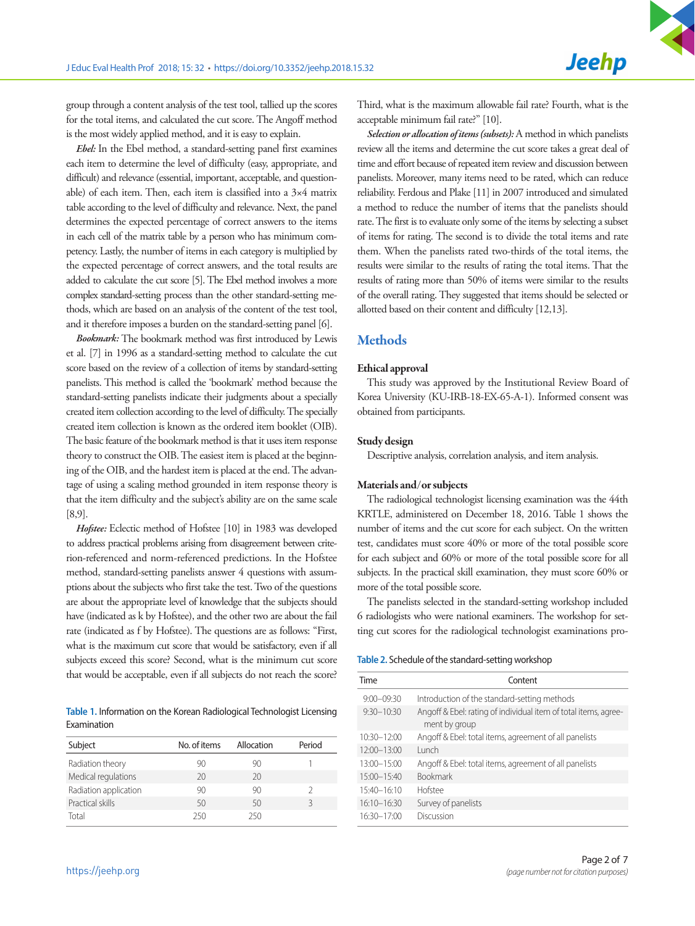group through a content analysis of the test tool, tallied up the scores for the total items, and calculated the cut score. The Angoff method is the most widely applied method, and it is easy to explain.

*Ebel:* In the Ebel method, a standard-setting panel first examines each item to determine the level of difficulty (easy, appropriate, and difficult) and relevance (essential, important, acceptable, and questionable) of each item. Then, each item is classified into a 3×4 matrix table according to the level of difficulty and relevance. Next, the panel determines the expected percentage of correct answers to the items in each cell of the matrix table by a person who has minimum competency. Lastly, the number of items in each category is multiplied by the expected percentage of correct answers, and the total results are added to calculate the cut score [5]. The Ebel method involves a more complex standard-setting process than the other standard-setting methods, which are based on an analysis of the content of the test tool, and it therefore imposes a burden on the standard-setting panel [6].

*Bookmark:* The bookmark method was first introduced by Lewis et al. [7] in 1996 as a standard-setting method to calculate the cut score based on the review of a collection of items by standard-setting panelists. This method is called the 'bookmark' method because the standard-setting panelists indicate their judgments about a specially created item collection according to the level of difficulty. The specially created item collection is known as the ordered item booklet (OIB). The basic feature of the bookmark method is that it uses item response theory to construct the OIB. The easiest item is placed at the beginning of the OIB, and the hardest item is placed at the end. The advantage of using a scaling method grounded in item response theory is that the item difficulty and the subject's ability are on the same scale [8,9].

*Hofstee:* Eclectic method of Hofstee [10] in 1983 was developed to address practical problems arising from disagreement between criterion-referenced and norm-referenced predictions. In the Hofstee method, standard-setting panelists answer 4 questions with assumptions about the subjects who first take the test. Two of the questions are about the appropriate level of knowledge that the subjects should have (indicated as k by Hofstee), and the other two are about the fail rate (indicated as f by Hofstee). The questions are as follows: "First, what is the maximum cut score that would be satisfactory, even if all subjects exceed this score? Second, what is the minimum cut score that would be acceptable, even if all subjects do not reach the score?

**Table 1.** Information on the Korean Radiological Technologist Licensing Examination

| Subject               | No. of items | Allocation | Period |
|-----------------------|--------------|------------|--------|
| Radiation theory      | 90           | 90         |        |
| Medical regulations   | 20           | 20         |        |
| Radiation application | 90           | 90         |        |
| Practical skills      | 50           | 50         |        |
| Total                 | 250          | 250        |        |

Third, what is the maximum allowable fail rate? Fourth, what is the acceptable minimum fail rate?" [10].

*Selection or allocation of items (subsets):* A method in which panelists review all the items and determine the cut score takes a great deal of time and effort because of repeated item review and discussion between panelists. Moreover, many items need to be rated, which can reduce reliability. Ferdous and Plake [11] in 2007 introduced and simulated a method to reduce the number of items that the panelists should rate. The first is to evaluate only some of the items by selecting a subset of items for rating. The second is to divide the total items and rate them. When the panelists rated two-thirds of the total items, the results were similar to the results of rating the total items. That the results of rating more than 50% of items were similar to the results of the overall rating. They suggested that items should be selected or allotted based on their content and difficulty [12,13].

## **Methods**

#### Ethical approval

This study was approved by the Institutional Review Board of Korea University (KU-IRB-18-EX-65-A-1). Informed consent was obtained from participants.

#### Study design

Descriptive analysis, correlation analysis, and item analysis.

#### Materials and/or subjects

The radiological technologist licensing examination was the 44th KRTLE, administered on December 18, 2016. Table 1 shows the number of items and the cut score for each subject. On the written test, candidates must score 40% or more of the total possible score for each subject and 60% or more of the total possible score for all subjects. In the practical skill examination, they must score 60% or more of the total possible score.

The panelists selected in the standard-setting workshop included 6 radiologists who were national examiners. The workshop for setting cut scores for the radiological technologist examinations pro-

#### **Table 2.** Schedule of the standard-setting workshop

| <b>Time</b>     | Content                                                                          |
|-----------------|----------------------------------------------------------------------------------|
| $9:00 - 09:30$  | Introduction of the standard-setting methods                                     |
| $9:30 - 10:30$  | Angoff & Ebel: rating of individual item of total items, agree-<br>ment by group |
| $10:30 - 12:00$ | Angoff & Ebel: total items, agreement of all panelists                           |
| $12:00 - 13:00$ | Lunch                                                                            |
| $13:00 - 15:00$ | Angoff & Ebel: total items, agreement of all panelists                           |
| $15:00 - 15:40$ | <b>Bookmark</b>                                                                  |
| $15:40 - 16:10$ | Hofstee                                                                          |
| $16:10 - 16:30$ | Survey of panelists                                                              |
| 16:30-17:00     | Discussion                                                                       |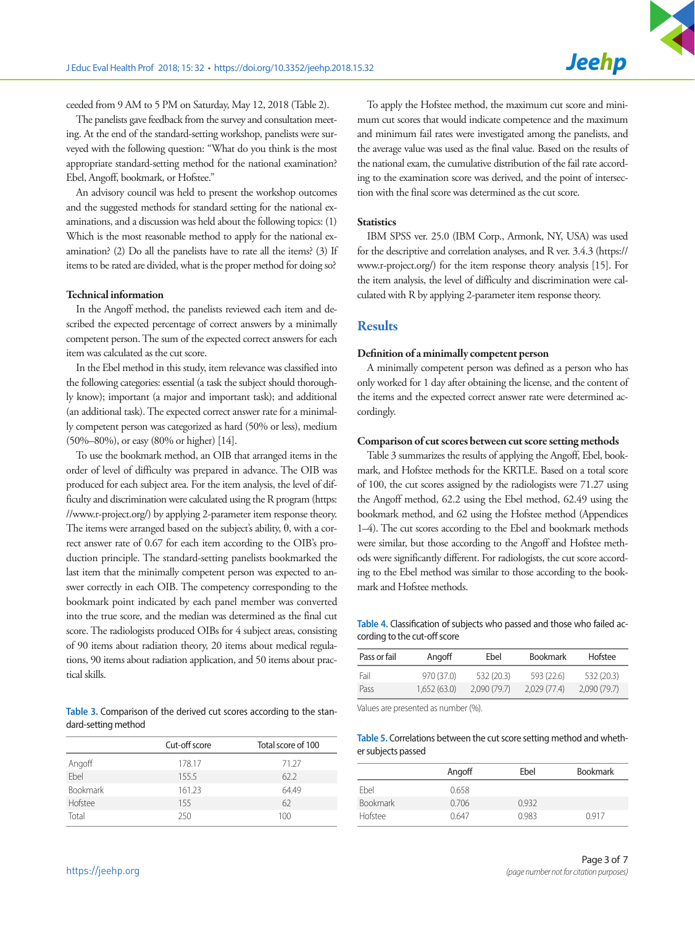ceeded from 9 AM to 5 PM on Saturday, May 12, 2018 (Table 2).

The panelists gave feedback from the survey and consultation meeting. At the end of the standard-setting workshop, panelists were surveyed with the following question: "What do you think is the most appropriate standard-setting method for the national examination? Ebel, Angoff, bookmark, or Hofstee."

An advisory council was held to present the workshop outcomes and the suggested methods for standard setting for the national examinations, and a discussion was held about the following topics: (1) Which is the most reasonable method to apply for the national examination? (2) Do all the panelists have to rate all the items? (3) If items to be rated are divided, what is the proper method for doing so?

#### Technical information

In the Angoff method, the panelists reviewed each item and described the expected percentage of correct answers by a minimally competent person. The sum of the expected correct answers for each item was calculated as the cut score.

In the Ebel method in this study, item relevance was classified into the following categories: essential (a task the subject should thoroughly know); important (a major and important task); and additional (an additional task). The expected correct answer rate for a minimally competent person was categorized as hard (50% or less), medium (50%–80%), or easy (80% or higher) [14].

To use the bookmark method, an OIB that arranged items in the order of level of difficulty was prepared in advance. The OIB was produced for each subject area. For the item analysis, the level of difficulty and discrimination were calculated using the R program [\(https:](https://www.r-project.org/)  [//www.r-project.org/\)](https://www.r-project.org/) by applying 2-parameter item response theory. The items were arranged based on the subject's ability, θ, with a correct answer rate of 0.67 for each item according to the OIB's production principle. The standard-setting panelists bookmarked the last item that the minimally competent person was expected to answer correctly in each OIB. The competency corresponding to the bookmark point indicated by each panel member was converted into the true score, and the median was determined as the final cut score. The radiologists produced OIBs for 4 subject areas, consisting of 90 items about radiation theory, 20 items about medical regulations, 90 items about radiation application, and 50 items about practical skills.

**Table 3.** Comparison of the derived cut scores according to the standard-setting method

|                 | Cut-off score | Total score of 100 |
|-----------------|---------------|--------------------|
| Angoff          | 178.17        | 71.27              |
| Fbel            | 155.5         | 62.2               |
| <b>Bookmark</b> | 161.23        | 64.49              |
| Hofstee         | 155           | 62                 |
| Total           | 250           | 100                |

To apply the Hofstee method, the maximum cut score and minimum cut scores that would indicate competence and the maximum and minimum fail rates were investigated among the panelists, and the average value was used as the final value. Based on the results of the national exam, the cumulative distribution of the fail rate according to the examination score was derived, and the point of intersection with the final score was determined as the cut score.

#### **Statistics**

IBM SPSS ver. 25.0 (IBM Corp., Armonk, NY, USA) was used for the descriptive and correlation analyses, and R ver. 3.4.3 [\(https://](https://www.r-project.org/) [www.r-project.org/](https://www.r-project.org/)) for the item response theory analysis [15]. For the item analysis, the level of difficulty and discrimination were calculated with R by applying 2-parameter item response theory.

## **Results**

### Definition of a minimally competent person

A minimally competent person was defined as a person who has only worked for 1 day after obtaining the license, and the content of the items and the expected correct answer rate were determined accordingly.

#### Comparison of cut scores between cut score setting methods

Table 3 summarizes the results of applying the Angoff, Ebel, bookmark, and Hofstee methods for the KRTLE. Based on a total score of 100, the cut scores assigned by the radiologists were 71.27 using the Angoff method, 62.2 using the Ebel method, 62.49 using the bookmark method, and 62 using the Hofstee method (Appendices 1–4). The cut scores according to the Ebel and bookmark methods were similar, but those according to the Angoff and Hofstee methods were significantly different. For radiologists, the cut score according to the Ebel method was similar to those according to the bookmark and Hofstee methods.

**Table 4.** Classification of subjects who passed and those who failed according to the cut-off score

| Pass or fail | Angoff      | Ebel        | <b>Bookmark</b> | Hofstee     |
|--------------|-------------|-------------|-----------------|-------------|
| Fail         | 970 (37.0)  | 532 (20.3)  | 593 (22.6)      | 532(20.3)   |
| Pass         | 1.652(63.0) | 2.090(79.7) | 2.029(77.4)     | 2,090(79.7) |

Values are presented as number (%).

#### **Table 5.** Correlations between the cut score setting method and whether subjects passed

|                 | Angoff | Ebel  | <b>Bookmark</b> |
|-----------------|--------|-------|-----------------|
| Fbel            | 0.658  |       |                 |
| <b>Bookmark</b> | 0.706  | 0932  |                 |
| Hofstee         | 0647   | 0.983 | 0917            |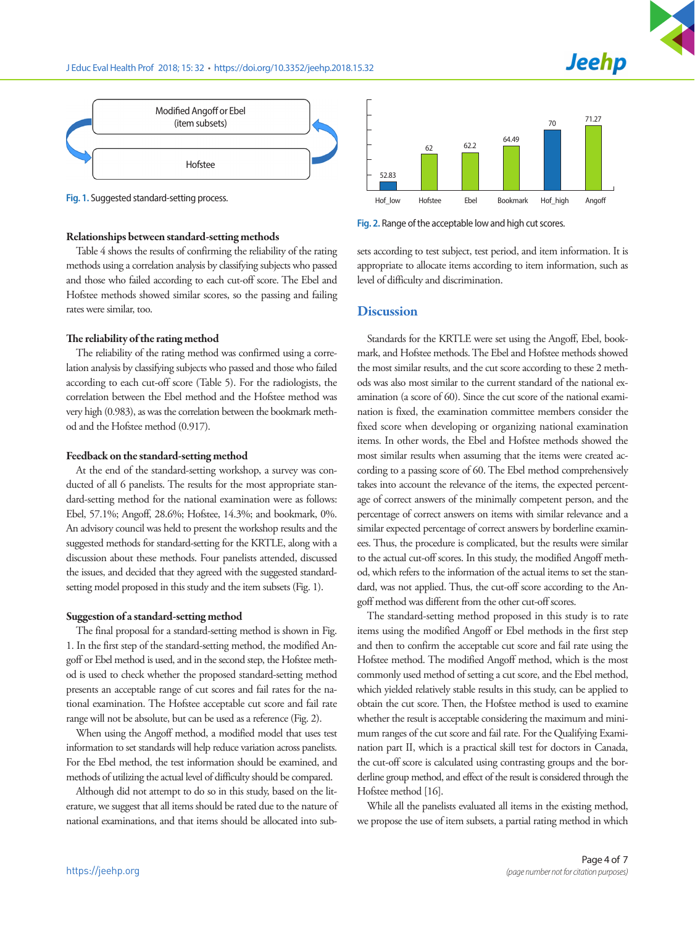



**Fig. 1.** Suggested standard-setting process.

#### Relationships between standard-setting methods

Table 4 shows the results of confirming the reliability of the rating methods using a correlation analysis by classifying subjects who passed and those who failed according to each cut-off score. The Ebel and Hofstee methods showed similar scores, so the passing and failing rates were similar, too.

## The reliability of the rating method

The reliability of the rating method was confirmed using a correlation analysis by classifying subjects who passed and those who failed according to each cut-off score (Table 5). For the radiologists, the correlation between the Ebel method and the Hofstee method was very high (0.983), as was the correlation between the bookmark method and the Hofstee method (0.917).

## Feedback on the standard-setting method

At the end of the standard-setting workshop, a survey was conducted of all 6 panelists. The results for the most appropriate standard-setting method for the national examination were as follows: Ebel, 57.1%; Angoff, 28.6%; Hofstee, 14.3%; and bookmark, 0%. An advisory council was held to present the workshop results and the suggested methods for standard-setting for the KRTLE, along with a discussion about these methods. Four panelists attended, discussed the issues, and decided that they agreed with the suggested standardsetting model proposed in this study and the item subsets (Fig. 1).

#### Suggestion of a standard-setting method

The final proposal for a standard-setting method is shown in Fig. 1. In the first step of the standard-setting method, the modified Angoff or Ebel method is used, and in the second step, the Hofstee method is used to check whether the proposed standard-setting method presents an acceptable range of cut scores and fail rates for the national examination. The Hofstee acceptable cut score and fail rate range will not be absolute, but can be used as a reference (Fig. 2).

When using the Angoff method, a modified model that uses test information to set standards will help reduce variation across panelists. For the Ebel method, the test information should be examined, and methods of utilizing the actual level of difficulty should be compared.

Although did not attempt to do so in this study, based on the literature, we suggest that all items should be rated due to the nature of national examinations, and that items should be allocated into sub-



**Fig. 2.** Range of the acceptable low and high cut scores.

sets according to test subject, test period, and item information. It is appropriate to allocate items according to item information, such as level of difficulty and discrimination.

## **Discussion**

Standards for the KRTLE were set using the Angoff, Ebel, bookmark, and Hofstee methods. The Ebel and Hofstee methods showed the most similar results, and the cut score according to these 2 methods was also most similar to the current standard of the national examination (a score of 60). Since the cut score of the national examination is fixed, the examination committee members consider the fixed score when developing or organizing national examination items. In other words, the Ebel and Hofstee methods showed the most similar results when assuming that the items were created according to a passing score of 60. The Ebel method comprehensively takes into account the relevance of the items, the expected percentage of correct answers of the minimally competent person, and the percentage of correct answers on items with similar relevance and a similar expected percentage of correct answers by borderline examinees. Thus, the procedure is complicated, but the results were similar to the actual cut-off scores. In this study, the modified Angoff method, which refers to the information of the actual items to set the standard, was not applied. Thus, the cut-off score according to the Angoff method was different from the other cut-off scores.

The standard-setting method proposed in this study is to rate items using the modified Angoff or Ebel methods in the first step and then to confirm the acceptable cut score and fail rate using the Hofstee method. The modified Angoff method, which is the most commonly used method of setting a cut score, and the Ebel method, which yielded relatively stable results in this study, can be applied to obtain the cut score. Then, the Hofstee method is used to examine whether the result is acceptable considering the maximum and minimum ranges of the cut score and fail rate. For the Qualifying Examination part II, which is a practical skill test for doctors in Canada, the cut-off score is calculated using contrasting groups and the borderline group method, and effect of the result is considered through the Hofstee method [16].

While all the panelists evaluated all items in the existing method, we propose the use of item subsets, a partial rating method in which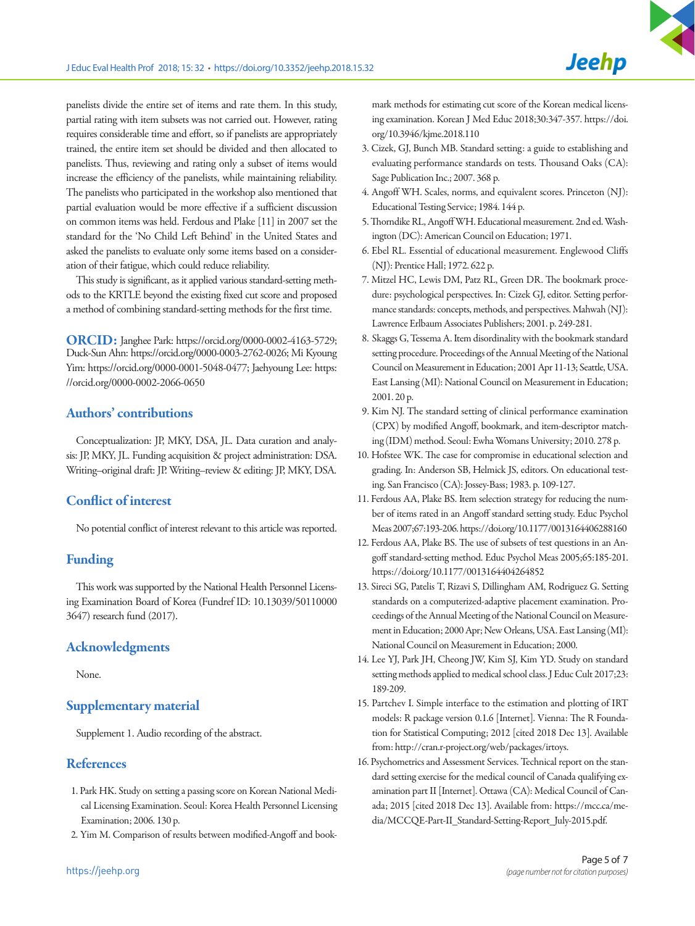panelists divide the entire set of items and rate them. In this study, partial rating with item subsets was not carried out. However, rating requires considerable time and effort, so if panelists are appropriately trained, the entire item set should be divided and then allocated to panelists. Thus, reviewing and rating only a subset of items would increase the efficiency of the panelists, while maintaining reliability. The panelists who participated in the workshop also mentioned that partial evaluation would be more effective if a sufficient discussion on common items was held. Ferdous and Plake [11] in 2007 set the standard for the 'No Child Left Behind' in the United States and asked the panelists to evaluate only some items based on a consideration of their fatigue, which could reduce reliability.

This study is significant, as it applied various standard-setting methods to the KRTLE beyond the existing fixed cut score and proposed a method of combining standard-setting methods for the first time.

ORCID: Janghee Park: https://orcid.org/0000-0002-4163-5729; Duck-Sun Ahn: https://orcid.org/0000-0003-2762-0026; Mi Kyoung Yim: https://orcid.org/0000-0001-5048-0477; Jaehyoung Lee: https: //orcid.org/0000-0002-2066-0650

## Authors' contributions

Conceptualization: JP, MKY, DSA, JL. Data curation and analysis: JP, MKY, JL. Funding acquisition & project administration: DSA. Writing–original draft: JP. Writing–review & editing: JP, MKY, DSA.

# Conflict of interest

No potential conflict of interest relevant to this article was reported.

## Funding

This work was supported by the National Health Personnel Licensing Examination Board of Korea (Fundref ID: 10.13039/50110000 3647) research fund (2017).

## Acknowledgments

None.

## Supplementary material

Supplement 1. Audio recording of the abstract.

## **References**

- 1. Park HK. Study on setting a passing score on Korean National Medical Licensing Examination. Seoul: Korea Health Personnel Licensing Examination; 2006. 130 p.
- 2. Yim M. Comparison of results between modified-Angoff and book-

mark methods for estimating cut score of the Korean medical licensing examination. Korean J Med Educ 2018;30:347-357. https://doi. org/10.3946/kjme.2018.110

- 3. Cizek, GJ, Bunch MB. Standard setting: a guide to establishing and evaluating performance standards on tests. Thousand Oaks (CA): Sage Publication Inc.; 2007. 368 p.
- 4. Angoff WH. Scales, norms, and equivalent scores. Princeton (NJ): Educational Testing Service; 1984. 144 p.
- 5. Thorndike RL, Angoff WH. Educational measurement. 2nd ed. Washington (DC): American Council on Education; 1971.
- 6. Ebel RL. Essential of educational measurement. Englewood Cliffs (NJ): Prentice Hall; 1972. 622 p.
- 7. Mitzel HC, Lewis DM, Patz RL, Green DR. The bookmark procedure: psychological perspectives. In: Cizek GJ, editor. Setting performance standards: concepts, methods, and perspectives. Mahwah (NJ): Lawrence Erlbaum Associates Publishers; 2001. p. 249-281.
- 8. Skaggs G, Tessema A. Item disordinality with the bookmark standard setting procedure. Proceedings of the Annual Meeting of the National Council on Measurement in Education; 2001 Apr 11-13; Seattle, USA. East Lansing (MI): National Council on Measurement in Education; 2001. 20 p.
- 9. Kim NJ. The standard setting of clinical performance examination (CPX) by modified Angoff, bookmark, and item-descriptor matching (IDM) method. Seoul: Ewha Womans University; 2010. 278 p.
- 10. Hofstee WK. The case for compromise in educational selection and grading. In: Anderson SB, Helmick JS, editors. On educational testing. San Francisco (CA): Jossey-Bass; 1983. p. 109-127.
- 11. Ferdous AA, Plake BS. Item selection strategy for reducing the number of items rated in an Angoff standard setting study. Educ Psychol Meas 2007;67:193-206. https://doi.org/10.1177/0013164406288160
- 12. Ferdous AA, Plake BS. The use of subsets of test questions in an Angoff standard-setting method. Educ Psychol Meas 2005;65:185-201. https://doi.org/10.1177/0013164404264852
- 13. Sireci SG, Patelis T, Rizavi S, Dillingham AM, Rodriguez G. Setting standards on a computerized-adaptive placement examination. Proceedings of the Annual Meeting of the National Council on Measurement in Education; 2000 Apr; New Orleans, USA. East Lansing (MI): National Council on Measurement in Education; 2000.
- 14. Lee YJ, Park JH, Cheong JW, Kim SJ, Kim YD. Study on standard setting methods applied to medical school class. J Educ Cult 2017;23: 189-209.
- 15. Partchev I. Simple interface to the estimation and plotting of IRT models: R package version 0.1.6 [Internet]. Vienna: The R Foundation for Statistical Computing; 2012 [cited 2018 Dec 13]. Available from: http://cran.r-project.org/web/packages/irtoys.
- 16. Psychometrics and Assessment Services. Technical report on the standard setting exercise for the medical council of Canada qualifying examination part II [Internet]. Ottawa (CA): Medical Council of Canada; 2015 [cited 2018 Dec 13]. Available from: https://mcc.ca/media/MCCQE-Part-II\_Standard-Setting-Report\_July-2015.pdf.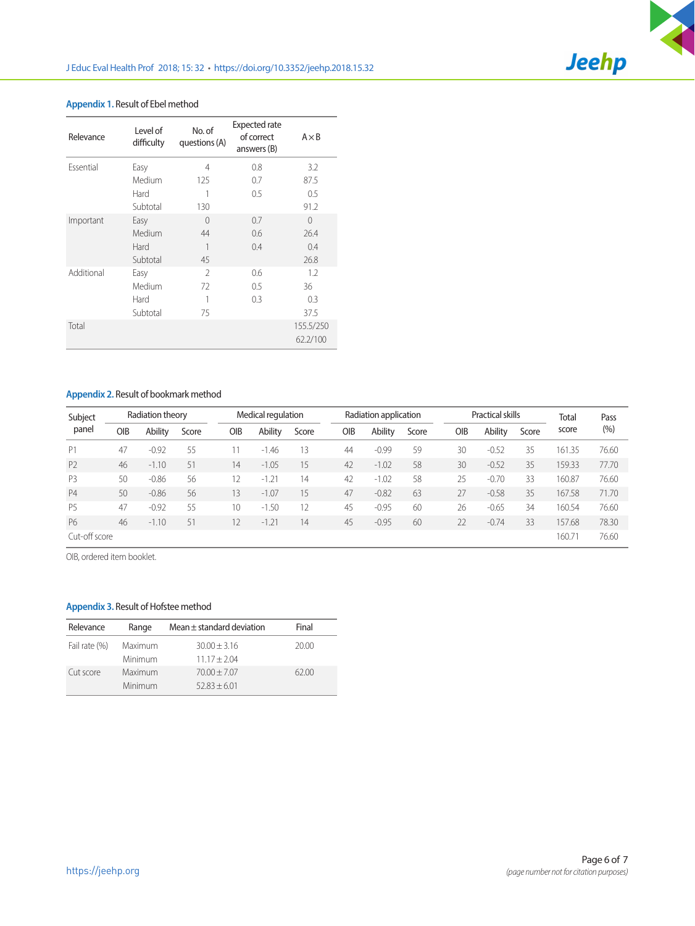

## **Appendix 1.** Result of Ebel method

| Relevance  | Level of<br>difficulty | No. of<br>questions (A) | Expected rate<br>of correct<br>answers (B) | $A \times B$          |
|------------|------------------------|-------------------------|--------------------------------------------|-----------------------|
| Essential  | Easy                   | 4                       | 0.8                                        | 3.2                   |
|            | Medium                 | 125                     | 0.7                                        | 87.5                  |
|            | Hard                   | 1                       | 0.5                                        | 0.5                   |
|            | Subtotal               | 130                     |                                            | 91.2                  |
| Important  | Easy                   | $\Omega$                | 0.7                                        | $\Omega$              |
|            | Medium                 | 44                      | 0.6                                        | 26.4                  |
|            | Hard                   | 1                       | 0.4                                        | 0.4                   |
|            | Subtotal               | 45                      |                                            | 26.8                  |
| Additional | Easy                   | $\mathfrak{I}$          | 0.6                                        | 1.2                   |
|            | Medium                 | 72                      | $0.5\,$                                    | 36                    |
|            | Hard                   | 1                       | 0.3                                        | 0.3                   |
|            | Subtotal               | 75                      |                                            | 37.5                  |
| Total      |                        |                         |                                            | 155.5/250<br>62.2/100 |

## **Appendix 2.** Result of bookmark method

| Subject        |     | Radiation theory |       |     | Medical regulation |       | Radiation application |         |       | Practical skills |         |       | <b>Total</b>    | Pass  |
|----------------|-----|------------------|-------|-----|--------------------|-------|-----------------------|---------|-------|------------------|---------|-------|-----------------|-------|
| panel          | OIB | Ability          | Score | OIB | Ability            | Score | OIB                   | Ability | Score | <b>OIB</b>       | Ability | Score | score           | (%)   |
| P1             | 47  | $-0.92$          | 55    |     | $-1.46$            | 13    | 44                    | $-0.99$ | 59    | 30               | $-0.52$ | 35    | 161.35          | 76.60 |
| P <sub>2</sub> | 46  | $-1.10$          | 51    | 14  | $-1.05$            | 15    | 42                    | $-1.02$ | 58    | 30               | $-0.52$ | 35    | 159.33          | 77.70 |
| P <sub>3</sub> | 50  | $-0.86$          | 56    | 12  | $-1.21$            | 14    | 42                    | $-1.02$ | 58    | 25               | $-0.70$ | 33    | 160.87          | 76.60 |
| <b>P4</b>      | 50  | $-0.86$          | 56    | 13  | $-1.07$            | 15    | 47                    | $-0.82$ | 63    | 27               | $-0.58$ | 35    | 167.58          | 71.70 |
| <b>P5</b>      | 47  | $-0.92$          | 55    | 10  | $-1.50$            | 12    | 45                    | $-0.95$ | 60    | 26               | $-0.65$ | 34    | 160.54          | 76.60 |
| <b>P6</b>      | 46  | $-1.10$          | 51    | 12  | $-1.21$            | 14    | 45                    | $-0.95$ | 60    | 22               | $-0.74$ | 33    | 157.68          | 78.30 |
| Cut-off score  |     |                  |       |     |                    |       |                       |         |       |                  |         |       | $160.7^{\circ}$ | 76.60 |

OIB, ordered item booklet.

## **Appendix 3.** Result of Hofstee method

| Relevance     | Range              | Mean $\pm$ standard deviation    | Final |
|---------------|--------------------|----------------------------------|-------|
| Fail rate (%) | Maximum<br>Minimum | $30.00 + 3.16$<br>$11.17 + 2.04$ | 20.00 |
| Cut score     | Maximum<br>Minimum | $70.00 + 7.07$<br>$52.83 + 6.01$ | 62.00 |